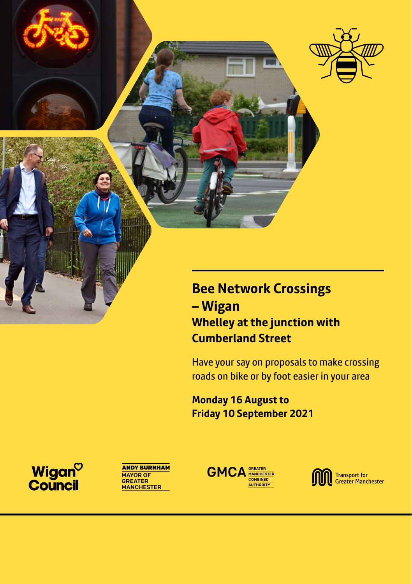

### **Bee Network Crossings – Wigan Whelley at the junction with Cumberland Street**

Have your say on proposals to make crossing roads on bike or by foot easier in your area

**Monday 16 August to Friday 10 September 2021**

Wigan<sup>o</sup><br>Council





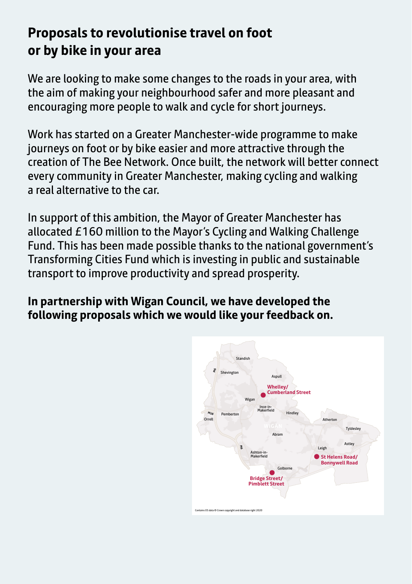## **Proposals to revolutionise travel on foot or by bike in your area**

We are looking to make some changes to the roads in your area, with the aim of making your neighbourhood safer and more pleasant and encouraging more people to walk and cycle for short journeys.

Work has started on a Greater Manchester-wide programme to make journeys on foot or by bike easier and more attractive through the creation of The Bee Network. Once built, the network will better connect every community in Greater Manchester, making cycling and walking a real alternative to the car.

In support of this ambition, the Mayor of Greater Manchester has allocated £160 million to the Mayor's Cycling and Walking Challenge Fund. This has been made possible thanks to the national government's Transforming Cities Fund which is investing in public and sustainable transport to improve productivity and spread prosperity.

### **In partnership with Wigan Council, we have developed the following proposals which we would like your feedback on.**

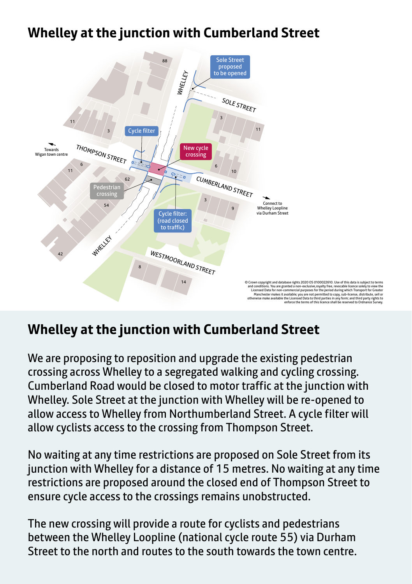## 88 Sole Street proposed **Whelley at the junction with Cumberland Street**



# Whelley at the junction with Cumberland Street

We are proposing to reposition and upgrade the existing pedestrian crossing across Whelley to a segregated walking and cycling crossing. Cumberland Road would be closed to motor traffic at the junction with Whelley. Sole Street at the junction with Whelley will be re-opened to allow access to Whelley from Northumberland Street. A cycle filter will allow cyclists access to the crossing from Thompson Street.

No waiting at any time restrictions are proposed on Sole Street from its junction with Whelley for a distance of 15 metres. No waiting at any time restrictions are proposed around the closed end of Thompson Street to ensure cycle access to the crossings remains unobstructed.

The new crossing will provide a route for cyclists and pedestrians between the Whelley Loopline (national cycle route 55) via Durham Street to the north and routes to the south towards the town centre.